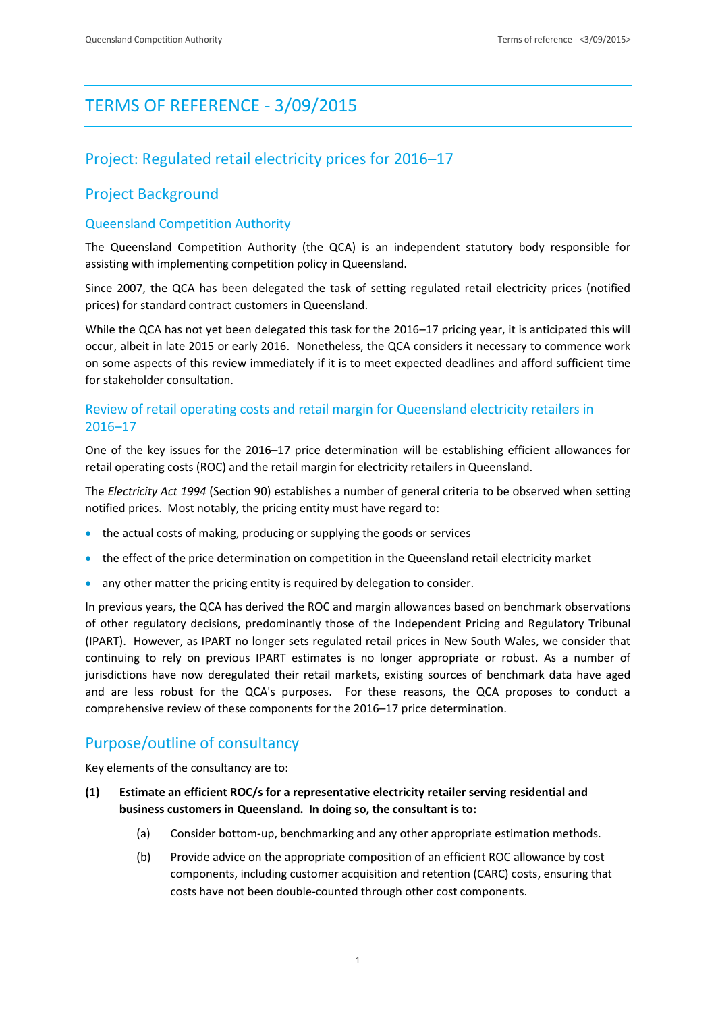# TERMS OF REFERENCE - 3/09/2015

# Project: Regulated retail electricity prices for 2016–17

### Project Background

#### Queensland Competition Authority

The Queensland Competition Authority (the QCA) is an independent statutory body responsible for assisting with implementing competition policy in Queensland.

Since 2007, the QCA has been delegated the task of setting regulated retail electricity prices (notified prices) for standard contract customers in Queensland.

While the QCA has not yet been delegated this task for the 2016–17 pricing year, it is anticipated this will occur, albeit in late 2015 or early 2016. Nonetheless, the QCA considers it necessary to commence work on some aspects of this review immediately if it is to meet expected deadlines and afford sufficient time for stakeholder consultation.

#### Review of retail operating costs and retail margin for Queensland electricity retailers in 2016–17

One of the key issues for the 2016–17 price determination will be establishing efficient allowances for retail operating costs (ROC) and the retail margin for electricity retailers in Queensland.

The *Electricity Act 1994* (Section 90) establishes a number of general criteria to be observed when setting notified prices. Most notably, the pricing entity must have regard to:

- the actual costs of making, producing or supplying the goods or services
- the effect of the price determination on competition in the Queensland retail electricity market
- any other matter the pricing entity is required by delegation to consider.

In previous years, the QCA has derived the ROC and margin allowances based on benchmark observations of other regulatory decisions, predominantly those of the Independent Pricing and Regulatory Tribunal (IPART). However, as IPART no longer sets regulated retail prices in New South Wales, we consider that continuing to rely on previous IPART estimates is no longer appropriate or robust. As a number of jurisdictions have now deregulated their retail markets, existing sources of benchmark data have aged and are less robust for the QCA's purposes. For these reasons, the QCA proposes to conduct a comprehensive review of these components for the 2016–17 price determination.

# Purpose/outline of consultancy

Key elements of the consultancy are to:

- **(1) Estimate an efficient ROC/s for a representative electricity retailer serving residential and business customers in Queensland. In doing so, the consultant is to:**
	- (a) Consider bottom-up, benchmarking and any other appropriate estimation methods.
	- (b) Provide advice on the appropriate composition of an efficient ROC allowance by cost components, including customer acquisition and retention (CARC) costs, ensuring that costs have not been double-counted through other cost components.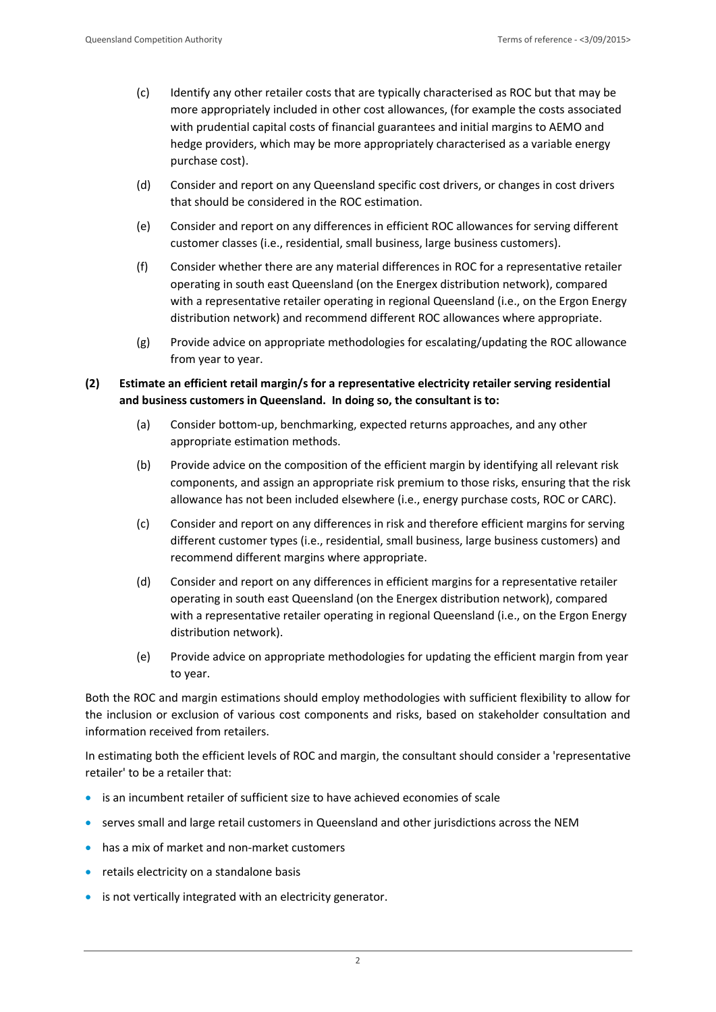- (c) Identify any other retailer costs that are typically characterised as ROC but that may be more appropriately included in other cost allowances, (for example the costs associated with prudential capital costs of financial guarantees and initial margins to AEMO and hedge providers, which may be more appropriately characterised as a variable energy purchase cost).
- (d) Consider and report on any Queensland specific cost drivers, or changes in cost drivers that should be considered in the ROC estimation.
- (e) Consider and report on any differences in efficient ROC allowances for serving different customer classes (i.e., residential, small business, large business customers).
- (f) Consider whether there are any material differences in ROC for a representative retailer operating in south east Queensland (on the Energex distribution network), compared with a representative retailer operating in regional Queensland (i.e., on the Ergon Energy distribution network) and recommend different ROC allowances where appropriate.
- (g) Provide advice on appropriate methodologies for escalating/updating the ROC allowance from year to year.
- **(2) Estimate an efficient retail margin/s for a representative electricity retailer serving residential and business customers in Queensland. In doing so, the consultant is to:**
	- (a) Consider bottom-up, benchmarking, expected returns approaches, and any other appropriate estimation methods.
	- (b) Provide advice on the composition of the efficient margin by identifying all relevant risk components, and assign an appropriate risk premium to those risks, ensuring that the risk allowance has not been included elsewhere (i.e., energy purchase costs, ROC or CARC).
	- (c) Consider and report on any differences in risk and therefore efficient margins for serving different customer types (i.e., residential, small business, large business customers) and recommend different margins where appropriate.
	- (d) Consider and report on any differences in efficient margins for a representative retailer operating in south east Queensland (on the Energex distribution network), compared with a representative retailer operating in regional Queensland (i.e., on the Ergon Energy distribution network).
	- (e) Provide advice on appropriate methodologies for updating the efficient margin from year to year.

Both the ROC and margin estimations should employ methodologies with sufficient flexibility to allow for the inclusion or exclusion of various cost components and risks, based on stakeholder consultation and information received from retailers.

In estimating both the efficient levels of ROC and margin, the consultant should consider a 'representative retailer' to be a retailer that:

- is an incumbent retailer of sufficient size to have achieved economies of scale
- serves small and large retail customers in Queensland and other jurisdictions across the NEM
- has a mix of market and non-market customers
- **•** retails electricity on a standalone basis
- is not vertically integrated with an electricity generator.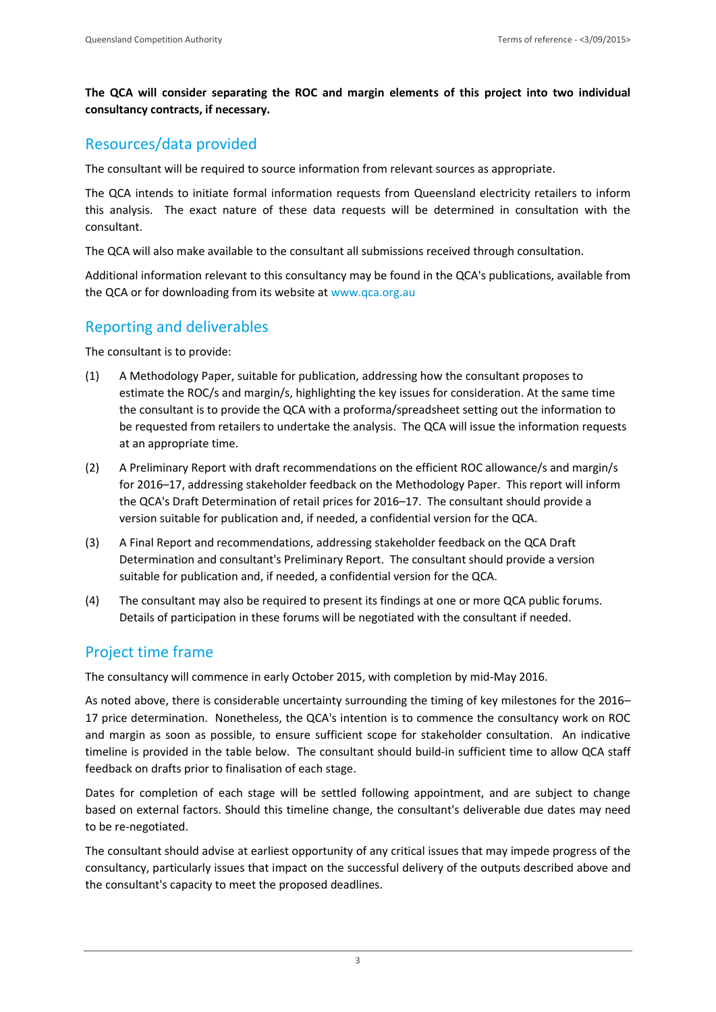**The QCA will consider separating the ROC and margin elements of this project into two individual consultancy contracts, if necessary.**

#### Resources/data provided

The consultant will be required to source information from relevant sources as appropriate.

The QCA intends to initiate formal information requests from Queensland electricity retailers to inform this analysis. The exact nature of these data requests will be determined in consultation with the consultant.

The QCA will also make available to the consultant all submissions received through consultation.

Additional information relevant to this consultancy may be found in the QCA's publications, available from the QCA or for downloading from its website at [www.qca.org.au](file:///C:/NRPortbl/Documents/DPB/www.qca.org.au)

# Reporting and deliverables

The consultant is to provide:

- (1) A Methodology Paper, suitable for publication, addressing how the consultant proposes to estimate the ROC/s and margin/s, highlighting the key issues for consideration. At the same time the consultant is to provide the QCA with a proforma/spreadsheet setting out the information to be requested from retailers to undertake the analysis. The QCA will issue the information requests at an appropriate time.
- (2) A Preliminary Report with draft recommendations on the efficient ROC allowance/s and margin/s for 2016–17, addressing stakeholder feedback on the Methodology Paper. This report will inform the QCA's Draft Determination of retail prices for 2016–17. The consultant should provide a version suitable for publication and, if needed, a confidential version for the QCA.
- (3) A Final Report and recommendations, addressing stakeholder feedback on the QCA Draft Determination and consultant's Preliminary Report. The consultant should provide a version suitable for publication and, if needed, a confidential version for the QCA.
- (4) The consultant may also be required to present its findings at one or more QCA public forums. Details of participation in these forums will be negotiated with the consultant if needed.

### Project time frame

The consultancy will commence in early October 2015, with completion by mid-May 2016.

As noted above, there is considerable uncertainty surrounding the timing of key milestones for the 2016– 17 price determination. Nonetheless, the QCA's intention is to commence the consultancy work on ROC and margin as soon as possible, to ensure sufficient scope for stakeholder consultation. An indicative timeline is provided in the table below. The consultant should build-in sufficient time to allow QCA staff feedback on drafts prior to finalisation of each stage.

Dates for completion of each stage will be settled following appointment, and are subject to change based on external factors. Should this timeline change, the consultant's deliverable due dates may need to be re-negotiated.

The consultant should advise at earliest opportunity of any critical issues that may impede progress of the consultancy, particularly issues that impact on the successful delivery of the outputs described above and the consultant's capacity to meet the proposed deadlines.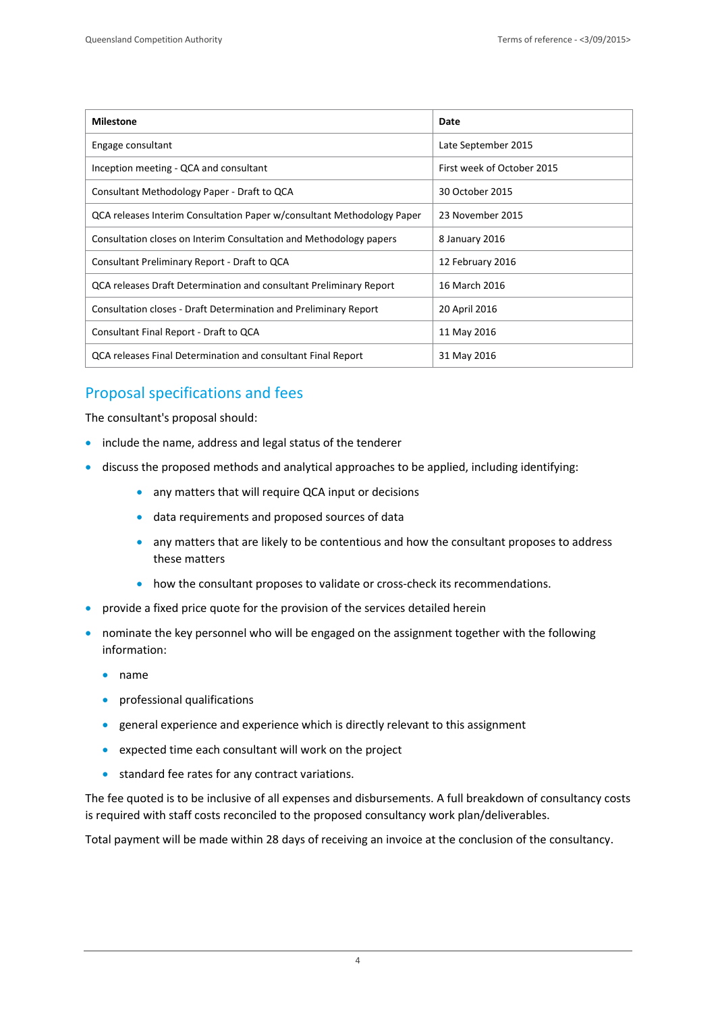| <b>Milestone</b>                                                       | Date                       |
|------------------------------------------------------------------------|----------------------------|
| Engage consultant                                                      | Late September 2015        |
| Inception meeting - QCA and consultant                                 | First week of October 2015 |
| Consultant Methodology Paper - Draft to QCA                            | 30 October 2015            |
| QCA releases Interim Consultation Paper w/consultant Methodology Paper | 23 November 2015           |
| Consultation closes on Interim Consultation and Methodology papers     | 8 January 2016             |
| Consultant Preliminary Report - Draft to QCA                           | 12 February 2016           |
| QCA releases Draft Determination and consultant Preliminary Report     | 16 March 2016              |
| Consultation closes - Draft Determination and Preliminary Report       | 20 April 2016              |
| Consultant Final Report - Draft to QCA                                 | 11 May 2016                |
| QCA releases Final Determination and consultant Final Report           | 31 May 2016                |

# Proposal specifications and fees

The consultant's proposal should:

- include the name, address and legal status of the tenderer
- discuss the proposed methods and analytical approaches to be applied, including identifying:
	- any matters that will require QCA input or decisions
	- data requirements and proposed sources of data
	- any matters that are likely to be contentious and how the consultant proposes to address these matters
	- how the consultant proposes to validate or cross-check its recommendations.
- provide a fixed price quote for the provision of the services detailed herein
- nominate the key personnel who will be engaged on the assignment together with the following information:
	- name
	- professional qualifications
	- general experience and experience which is directly relevant to this assignment
	- expected time each consultant will work on the project
	- **•** standard fee rates for any contract variations.

The fee quoted is to be inclusive of all expenses and disbursements. A full breakdown of consultancy costs is required with staff costs reconciled to the proposed consultancy work plan/deliverables.

Total payment will be made within 28 days of receiving an invoice at the conclusion of the consultancy.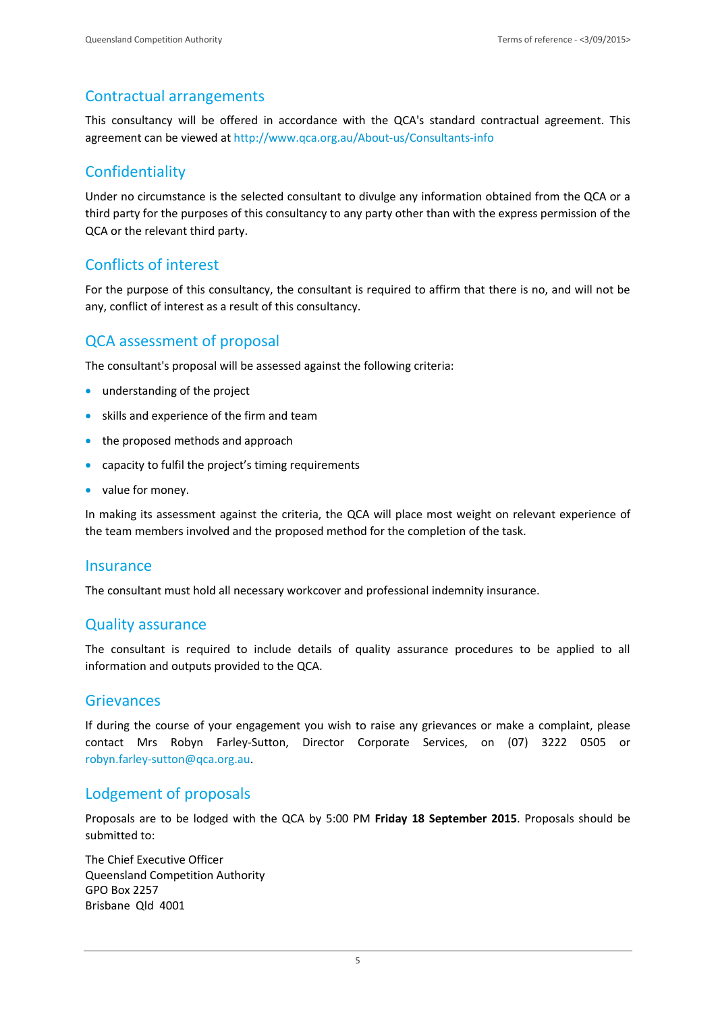## Contractual arrangements

This consultancy will be offered in accordance with the QCA's standard contractual agreement. This agreement can be viewed a[t http://www.qca.org.au/About-us/Consultants-info](http://www.qca.org.au/About-us/Consultants-info)

# **Confidentiality**

Under no circumstance is the selected consultant to divulge any information obtained from the QCA or a third party for the purposes of this consultancy to any party other than with the express permission of the QCA or the relevant third party.

## Conflicts of interest

For the purpose of this consultancy, the consultant is required to affirm that there is no, and will not be any, conflict of interest as a result of this consultancy.

### QCA assessment of proposal

The consultant's proposal will be assessed against the following criteria:

- **•** understanding of the project
- skills and experience of the firm and team
- the proposed methods and approach
- capacity to fulfil the project's timing requirements
- value for money.

In making its assessment against the criteria, the QCA will place most weight on relevant experience of the team members involved and the proposed method for the completion of the task.

#### **Insurance**

The consultant must hold all necessary workcover and professional indemnity insurance.

#### Quality assurance

The consultant is required to include details of quality assurance procedures to be applied to all information and outputs provided to the QCA.

#### Grievances

If during the course of your engagement you wish to raise any grievances or make a complaint, please contact Mrs Robyn Farley-Sutton, Director Corporate Services, on (07) 3222 0505 or [robyn.farley-sutton@qca.org.au.](file:///C:/NRPortbl/Documents/DPB/robyn.farley-sutton@qca.org.au)

### Lodgement of proposals

Proposals are to be lodged with the QCA by 5:00 PM **Friday 18 September 2015**. Proposals should be submitted to:

The Chief Executive Officer Queensland Competition Authority GPO Box 2257 Brisbane Qld 4001